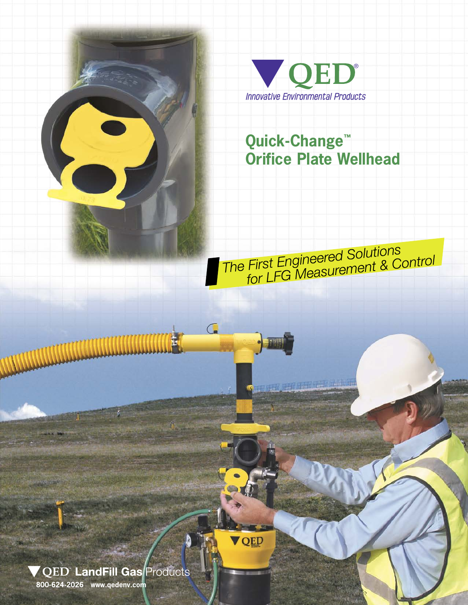

## **Quick-Change™ Orifice Plate Wellhead**

The First Engineered Solutions<br>for LFG Measurement & Control

<u>an aman beri didi</u>

C.

QED

 $\Lambda$ 

▼ QED LandFill Gas Products

**800-624-2026 www.qedenv.com**

**Allenander** 

眉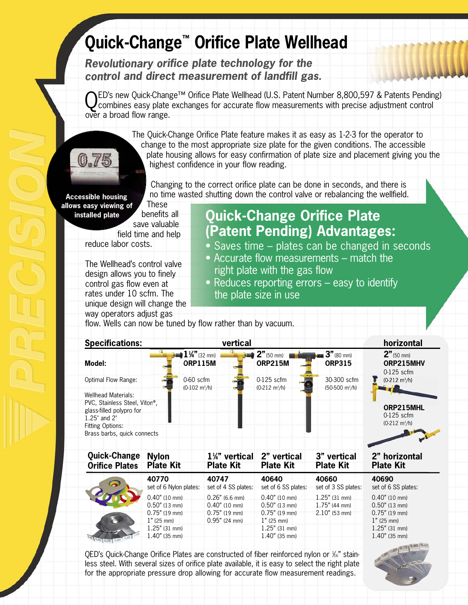# **Quick-Change™ Orifice Plate Wellhead**

*Revolutionary orifice plate technology for the control and direct measurement of landfill gas.*

NED's new Quick-Change™ Orifice Plate Wellhead (U.S. Patent Number 8,800,597 & Patents Pending) combines easy plate exchanges for accurate flow measurements with precise adjustment control over a broad flow range.

> The Quick-Change Orifice Plate feature makes it as easy as 1-2-3 for the operator to change to the most appropriate size plate for the given conditions. The accessible plate housing allows for easy confirmation of plate size and placement giving you the highest confidence in your flow reading.

Changing to the correct orifice plate can be done in seconds, and there is no time wasted shutting down the control valve or rebalancing the wellfield.

**Accessible housing allows easy viewing of**

0.75

 benefits all save valuable field time and help reduce labor costs. **installed plate**

These

The Wellhead's control valve design allows you to finely control gas flow even at rates under 10 scfm. The unique design will change the way operators adjust gas

**Quick-Change Orifice Plate (Patent Pending) Advantages:**

- Saves time plates can be changed in seconds
- Accurate flow measurements match the right plate with the gas flow
- Reduces reporting errors easy to identify the plate size in use

flow. Wells can now be tuned by flow rather than by vacuum.

| <b>Specifications:</b>                                                                                     |                                               | vertical                                       |                                                | horizontal                                                  |
|------------------------------------------------------------------------------------------------------------|-----------------------------------------------|------------------------------------------------|------------------------------------------------|-------------------------------------------------------------|
| Model:                                                                                                     | $1\frac{1}{4}$ (32 mm)<br><b>ORP115M</b>      | $2"$ (50 mm) f<br><b>ORP215M</b>               | $3"$ (80 mm)<br><b>ORP315</b>                  | $2"$ (50 mm)<br>ORP215MHV<br>$0-125$ scfm                   |
| <b>Optimal Flow Range:</b><br><b>Wellhead Materials:</b>                                                   | $0-60$ scfm<br>$(0-102 \text{ m}^3/\text{h})$ | $0-125$ scfm<br>$(0-212 \text{ m}^3/\text{h})$ | 30-300 scfm<br>$(50-500 \text{ m}^3/\text{h})$ | $(0-212 \text{ m}^3/\text{h})$                              |
| PVC, Stainless Steel, Viton®,<br>glass-filled polypro for<br>$1.25$ " and $2$ "<br><b>Fitting Options:</b> |                                               |                                                |                                                | ORP215MHL<br>$0-125$ scfm<br>$(0-212 \text{ m}^3/\text{h})$ |
| Brass barbs, quick connects                                                                                |                                               |                                                |                                                |                                                             |

| <b>Quick-Change</b>   | <b>Nylon</b>                   | $1\frac{1}{4}$ " vertical | 2" vertical                     | 3" vertical         | 2" horizontal                   |
|-----------------------|--------------------------------|---------------------------|---------------------------------|---------------------|---------------------------------|
| <b>Orifice Plates</b> | <b>Plate Kit</b>               | <b>Plate Kit</b>          | <b>Plate Kit</b>                | <b>Plate Kit</b>    | <b>Plate Kit</b>                |
| ଚ                     | 40770                          | 40747                     | 40640                           | 40660               | 40690                           |
|                       | set of 6 Nylon plates:         | set of 4 SS plates:       | set of 6 SS plates:             | set of 3 SS plates: | set of 6 SS plates:             |
|                       | $0.40"$ (10 mm)                | $0.26"$ (6.6 mm)          | $0.40$ " (10 mm)                | $1.25$ " (31 mm)    | $0.40"$ (10 mm)                 |
|                       | $0.50$ " (13 mm)               | $0.40"$ (10 mm)           | $0.50$ " (13 mm)                | $1.75$ " (44 mm)    | $0.50$ " (13 mm)                |
|                       | $0.75$ " (19 mm)               | $0.75$ " (19 mm)          | $0.75$ " (19 mm)                | $2.10"$ (53 mm)     | $0.75$ " (19 mm)                |
|                       | 1" (25 mm)<br>$1.25$ " (31 mm) | $0.95$ " (24 mm)          | $1"$ (25 mm)<br>$1.25"$ (31 mm) |                     | $1"$ (25 mm)<br>$1.25"$ (31 mm) |
|                       | $1.40''$ (35 mm)               |                           | $1.40''$ (35 mm)                |                     | $1.40''$ (35 mm)                |

OED's Quick-Change Orifice Plates are constructed of fiber reinforced nylon or  $\frac{1}{6}$ " stainless steel. With several sizes of orifice plate available, it is easy to select the right plate for the appropriate pressure drop allowing for accurate flow measurement readings.

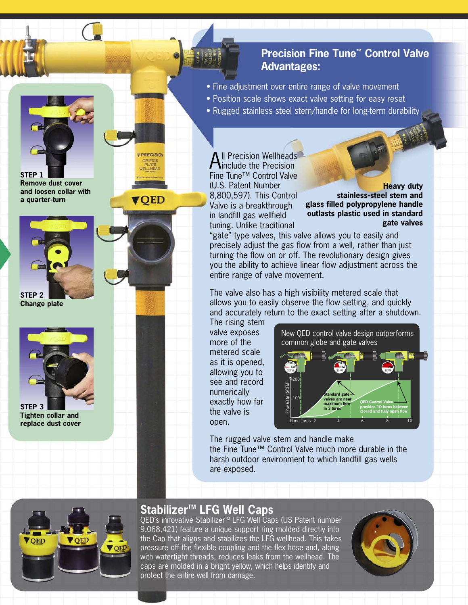#### **Precision Fine Tune™ Control Valve Advantages:**

- Fine adjustment over entire range of valve movement
- Position scale shows exact valve setting for easy reset
- Rugged stainless steel stem/handle for long-term durability

**All Precision Wellheads**<br>Ainclude the Precision Fine Tune™ Control Valve (U.S. Patent Number 8,800,597). This Control Valve is a breakthrough in landfill gas wellfield tuning. Unlike traditional

**Heavy duty stainless-steel stem and glass filled polypropylene handle outlasts plastic used in standard gate valves**

"gate" type valves, this valve allows you to easily and precisely adjust the gas flow from a well, rather than just turning the flow on or off. The revolutionary design gives you the ability to achieve linear flow adjustment across the entire range of valve movement.

The valve also has a high visibility metered scale that allows you to easily observe the flow setting, and quickly and accurately return to the exact setting after a shutdown.

The rising stem valve exposes more of the metered scale as it is opened, allowing you to see and record numerically exactly how far the valve is open.

New QED control valve design outperforms common globe and gate valves



The rugged valve stem and handle make the Fine Tune™ Control Valve much more durable in the harsh outdoor environment to which landfill gas wells are exposed.



#### **Stabilizer™ LFG Well Caps**

QED's innovative Stabilizer<sup>™</sup> LFG Well Caps (US Patent number 9,068,421) feature a unique support ring molded directly into the Cap that aligns and stabilizes the LFG wellhead. This takes pressure off the flexible coupling and the flex hose and, along with watertight threads, reduces leaks from the wellhead. The caps are molded in a bright yellow, which helps identify and protect the entire well from damage.





**PRECISIO** 

**OED** 



**Change plate**



**STEP 3 Tighten collar and replace dust cover**